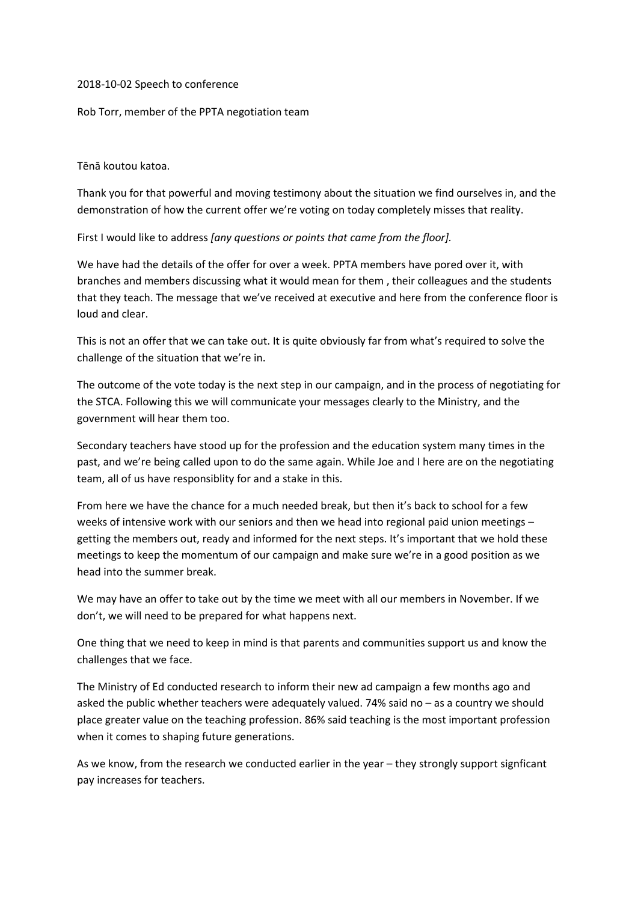## 2018-10-02 Speech to conference

Rob Torr, member of the PPTA negotiation team

## Tēnā koutou katoa.

Thank you for that powerful and moving testimony about the situation we find ourselves in, and the demonstration of how the current offer we're voting on today completely misses that reality.

First I would like to address *[any questions or points that came from the floor].*

We have had the details of the offer for over a week. PPTA members have pored over it, with branches and members discussing what it would mean for them , their colleagues and the students that they teach. The message that we've received at executive and here from the conference floor is loud and clear.

This is not an offer that we can take out. It is quite obviously far from what's required to solve the challenge of the situation that we're in.

The outcome of the vote today is the next step in our campaign, and in the process of negotiating for the STCA. Following this we will communicate your messages clearly to the Ministry, and the government will hear them too.

Secondary teachers have stood up for the profession and the education system many times in the past, and we're being called upon to do the same again. While Joe and I here are on the negotiating team, all of us have responsiblity for and a stake in this.

From here we have the chance for a much needed break, but then it's back to school for a few weeks of intensive work with our seniors and then we head into regional paid union meetings – getting the members out, ready and informed for the next steps. It's important that we hold these meetings to keep the momentum of our campaign and make sure we're in a good position as we head into the summer break.

We may have an offer to take out by the time we meet with all our members in November. If we don't, we will need to be prepared for what happens next.

One thing that we need to keep in mind is that parents and communities support us and know the challenges that we face.

The Ministry of Ed conducted research to inform their new ad campaign a few months ago and asked the public whether teachers were adequately valued. 74% said no – as a country we should place greater value on the teaching profession. 86% said teaching is the most important profession when it comes to shaping future generations.

As we know, from the research we conducted earlier in the year – they strongly support signficant pay increases for teachers.